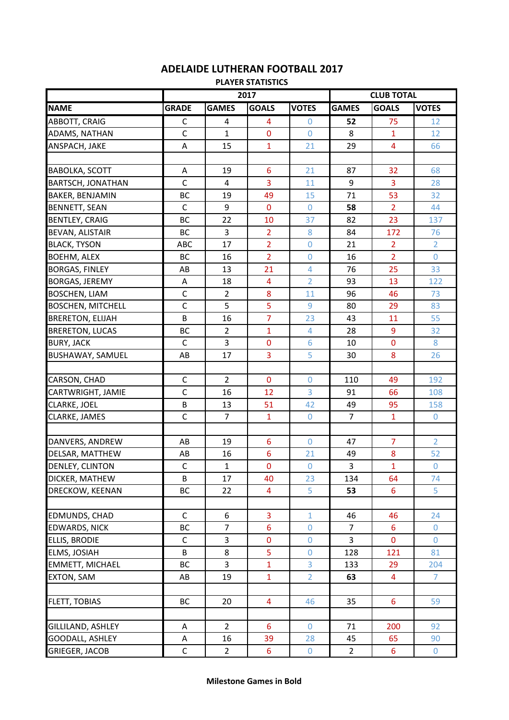## **ADELAIDE LUTHERAN FOOTBALL 2017**

**PLAYER STATISTICS**

|                          | 2017         |                |                         | <b>CLUB TOTAL</b> |                |                |                  |
|--------------------------|--------------|----------------|-------------------------|-------------------|----------------|----------------|------------------|
| <b>NAME</b>              | <b>GRADE</b> | <b>GAMES</b>   | <b>GOALS</b>            | <b>VOTES</b>      | <b>GAMES</b>   | <b>GOALS</b>   | <b>VOTES</b>     |
| ABBOTT, CRAIG            | $\mathsf{C}$ | 4              | 4                       | $\Omega$          | 52             | 75             | 12               |
| ADAMS, NATHAN            | $\mathsf C$  | $\mathbf{1}$   | $\bf{0}$                | $\Omega$          | 8              | $\mathbf{1}$   | 12               |
| ANSPACH, JAKE            | A            | 15             | $\mathbf{1}$            | 21                | 29             | $\overline{4}$ | 66               |
|                          |              |                |                         |                   |                |                |                  |
| <b>BABOLKA, SCOTT</b>    | A            | 19             | 6                       | 21                | 87             | 32             | 68               |
| <b>BARTSCH, JONATHAN</b> | $\mathsf{C}$ | $\overline{4}$ | $\overline{3}$          | 11                | 9              | $\overline{3}$ | 28               |
| <b>BAKER, BENJAMIN</b>   | <b>BC</b>    | 19             | 49                      | 15                | 71             | 53             | 32               |
| <b>BENNETT, SEAN</b>     | $\mathsf{C}$ | 9              | $\mathbf 0$             | $\overline{0}$    | 58             | $\overline{2}$ | 44               |
| <b>BENTLEY, CRAIG</b>    | BC           | 22             | 10                      | 37                | 82             | 23             | 137              |
| <b>BEVAN, ALISTAIR</b>   | <b>BC</b>    | 3              | $\overline{2}$          | 8                 | 84             | 172            | 76               |
| <b>BLACK, TYSON</b>      | <b>ABC</b>   | 17             | $\overline{2}$          | $\overline{0}$    | 21             | $\overline{2}$ | $\overline{2}$   |
| <b>BOEHM, ALEX</b>       | BC           | 16             | $\overline{2}$          | $\mathbf 0$       | 16             | $\overline{2}$ | $\Omega$         |
| <b>BORGAS, FINLEY</b>    | AB           | 13             | 21                      | $\overline{4}$    | 76             | 25             | 33               |
| <b>BORGAS, JEREMY</b>    | A            | 18             | $\overline{\mathbf{4}}$ | $\overline{2}$    | 93             | 13             | 122              |
| <b>BOSCHEN, LIAM</b>     | $\mathsf C$  | $\overline{2}$ | 8                       | 11                | 96             | 46             | 73               |
| <b>BOSCHEN, MITCHELL</b> | $\mathsf{C}$ | 5              | 5                       | 9                 | 80             | 29             | 83               |
| <b>BRERETON, ELIJAH</b>  | B            | 16             | $\overline{7}$          | 23                | 43             | 11             | 55               |
| <b>BRERETON, LUCAS</b>   | <b>BC</b>    | $\overline{2}$ | $\mathbf{1}$            | $\overline{4}$    | 28             | 9              | 32               |
| <b>BURY, JACK</b>        | $\mathsf C$  | 3              | $\pmb{0}$               | 6                 | 10             | $\mathbf 0$    | 8                |
| BUSHAWAY, SAMUEL         | AB           | 17             | 3                       | 5                 | 30             | 8              | 26               |
|                          |              |                |                         |                   |                |                |                  |
| CARSON, CHAD             | C            | $\overline{2}$ | $\mathbf{0}$            | $\Omega$          | 110            | 49             | 192              |
| CARTWRIGHT, JAMIE        | $\mathsf{C}$ | 16             | 12                      | $\overline{3}$    | 91             | 66             | 108              |
| CLARKE, JOEL             | B            | 13             | 51                      | 42                | 49             | 95             | 158              |
| CLARKE, JAMES            | $\mathsf{C}$ | $\overline{7}$ | $\mathbf{1}$            | $\mathbf 0$       | $\overline{7}$ | $\mathbf{1}$   | $\overline{0}$   |
|                          |              |                |                         |                   |                |                |                  |
| DANVERS, ANDREW          | AB           | 19             | 6                       | $\Omega$          | 47             | 7              | $\overline{2}$   |
| DELSAR, MATTHEW          | AB           | 16             | $6\phantom{1}6$         | 21                | 49             | 8              | 52               |
| DENLEY, CLINTON          | $\mathsf{C}$ | $\mathbf{1}$   | $\mathbf 0$             | $\boldsymbol{0}$  | 3              | $\overline{1}$ | $\boldsymbol{0}$ |
| DICKER, MATHEW           | B            | 17             | 40                      | 23                | 134            | 64             | 74               |
| DRECKOW, KEENAN          | BC           | 22             | 4                       | 5                 | 53             | $6\phantom{1}$ | 5                |
|                          |              |                |                         |                   |                |                |                  |
| EDMUNDS, CHAD            | $\mathsf{C}$ | 6              | $\overline{3}$          | $\overline{1}$    | 46             | 46             | 24               |
| <b>EDWARDS, NICK</b>     | BC           | $\overline{7}$ | $6\phantom{1}$          | $\boldsymbol{0}$  | $\overline{7}$ | $6\phantom{a}$ | $\mathbf 0$      |
| <b>ELLIS, BRODIE</b>     | $\mathsf{C}$ | 3              | $\bf{0}$                | $\boldsymbol{0}$  | 3              | $\mathbf{0}$   | $\mathbf 0$      |
| <b>ELMS, JOSIAH</b>      | B            | 8              | 5                       | $\boldsymbol{0}$  | 128            | 121            | 81               |
| <b>EMMETT, MICHAEL</b>   | BC           | 3              | $\mathbf{1}$            | 3                 | 133            | 29             | 204              |
| EXTON, SAM               | AB           | 19             | $\mathbf{1}$            | $\overline{2}$    | 63             | $\overline{4}$ | $\overline{7}$   |
|                          |              |                |                         |                   |                |                |                  |
| <b>FLETT, TOBIAS</b>     | BC           | 20             | 4                       | 46                | 35             | $6\phantom{1}$ | 59               |
|                          |              |                |                         |                   |                |                |                  |
| GILLILAND, ASHLEY        | A            | $\overline{2}$ | 6                       | $\overline{0}$    | 71             | 200            | 92               |
| GOODALL, ASHLEY          | A            | 16             | 39                      | 28                | 45             | 65             | 90               |
| <b>GRIEGER, JACOB</b>    | $\mathsf C$  | $\overline{2}$ | 6                       | $\mathbf 0$       | $\overline{2}$ | $6\phantom{a}$ | $\mathbf 0$      |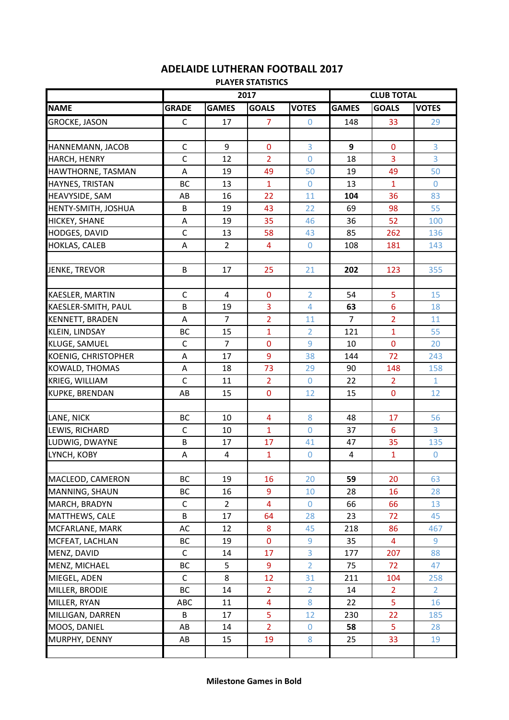## **ADELAIDE LUTHERAN FOOTBALL 2017**

**PLAYER STATISTICS**

|                            |              | 2017           |                |                | <b>CLUB TOTAL</b> |                 |                       |  |
|----------------------------|--------------|----------------|----------------|----------------|-------------------|-----------------|-----------------------|--|
| <b>NAME</b>                | <b>GRADE</b> | <b>GAMES</b>   | <b>GOALS</b>   | <b>VOTES</b>   | <b>GAMES</b>      | <b>GOALS</b>    | <b>VOTES</b>          |  |
| <b>GROCKE, JASON</b>       | C            | 17             | 7              | $\overline{0}$ | 148               | 33              | 29                    |  |
|                            |              |                |                |                |                   |                 |                       |  |
| HANNEMANN, JACOB           | $\mathsf{C}$ | 9              | $\mathbf 0$    | 3              | 9                 | $\mathbf 0$     | 3                     |  |
| HARCH, HENRY               | $\mathsf C$  | 12             | $\overline{2}$ | $\overline{0}$ | 18                | 3               | 3                     |  |
| HAWTHORNE, TASMAN          | A            | 19             | 49             | 50             | 19                | 49              | 50                    |  |
| HAYNES, TRISTAN            | BC           | 13             | 1              | $\overline{0}$ | 13                | $\mathbf{1}$    | $\overline{0}$        |  |
| <b>HEAVYSIDE, SAM</b>      | AB           | 16             | 22             | 11             | 104               | 36              | 83                    |  |
| HENTY-SMITH, JOSHUA        | B            | 19             | 43             | 22             | 69                | 98              | 55                    |  |
| <b>HICKEY, SHANE</b>       | Α            | 19             | 35             | 46             | 36                | 52              | 100                   |  |
| HODGES, DAVID              | $\mathsf{C}$ | 13             | 58             | 43             | 85                | 262             | 136                   |  |
| <b>HOKLAS, CALEB</b>       | A            | $\overline{2}$ | 4              | $\mathbf 0$    | 108               | 181             | 143                   |  |
|                            |              |                |                |                |                   |                 |                       |  |
| <b>JENKE, TREVOR</b>       | B            | 17             | 25             | 21             | 202               | 123             | 355                   |  |
|                            |              |                |                |                |                   |                 |                       |  |
| <b>KAESLER, MARTIN</b>     | $\mathsf{C}$ | $\overline{4}$ | $\mathbf 0$    | $\overline{2}$ | 54                | 5               | 15                    |  |
| KAESLER-SMITH, PAUL        | B            | 19             | 3              | $\overline{4}$ | 63                | $6\overline{6}$ | 18                    |  |
| <b>KENNETT, BRADEN</b>     | Α            | $\overline{7}$ | $\overline{2}$ | 11             | $\overline{7}$    | $\overline{2}$  | 11                    |  |
| <b>KLEIN, LINDSAY</b>      | BC           | 15             | $\mathbf{1}$   | $\overline{2}$ | 121               | $\overline{1}$  | 55                    |  |
| <b>KLUGE, SAMUEL</b>       | $\mathsf{C}$ | $\overline{7}$ | $\bf{0}$       | 9              | 10                | $\mathbf 0$     | 20                    |  |
| <b>KOENIG, CHRISTOPHER</b> | A            | 17             | 9              | 38             | 144               | 72              | 243                   |  |
| <b>KOWALD, THOMAS</b>      | A            | 18             | 73             | 29             | 90                | 148             | 158                   |  |
| KRIEG, WILLIAM             | $\mathsf{C}$ | 11             | $\overline{2}$ | $\overline{0}$ | 22                | $\overline{2}$  | $\mathbf{1}$          |  |
| <b>KUPKE, BRENDAN</b>      | AB           | 15             | $\mathbf 0$    | 12             | 15                | $\overline{0}$  | 12                    |  |
|                            |              |                |                |                |                   |                 |                       |  |
| LANE, NICK                 | <b>BC</b>    | 10             | $\overline{4}$ | 8              | 48                | 17              | 56                    |  |
| LEWIS, RICHARD             | $\mathsf C$  | 10             | $\mathbf{1}$   | $\mathbf 0$    | 37                | $6\phantom{1}6$ | 3                     |  |
| LUDWIG, DWAYNE             | B            | 17             | 17             | 41             | 47                | 35              | 135                   |  |
| LYNCH, KOBY                | A            | 4              | $\mathbf{1}$   | $\mathbf 0$    | 4                 | $\mathbf{1}$    | $\mathbf 0$           |  |
|                            |              |                |                |                |                   |                 |                       |  |
| MACLEOD, CAMERON           | <b>BC</b>    | 19             | 16             | 20             | 59                | 20              | 63                    |  |
| MANNING, SHAUN             | ВC           | 16             | 9              | 10             | 28                | 16              | 28                    |  |
| MARCH, BRADYN              | $\mathsf{C}$ | $\overline{2}$ | 4              | $\mathbf 0$    | 66                | 66              | 13                    |  |
| <b>MATTHEWS, CALE</b>      | B            | 17             | 64             | 28             | 23                | 72              | 45                    |  |
| MCFARLANE, MARK            | AC           | 12             | 8              | 45             | 218               | 86              | 467                   |  |
| MCFEAT, LACHLAN            | <b>BC</b>    | 19             | $\mathbf 0$    | 9              | 35                | 4               | 9                     |  |
| MENZ, DAVID                | $\mathsf C$  | 14             | 17             | 3              | 177               | 207             | 88                    |  |
| MENZ, MICHAEL              | ВC           | 5              | 9              | $\overline{2}$ | 75                | 72              | 47                    |  |
| MIEGEL, ADEN               | $\mathsf{C}$ | 8              | 12             | 31             | 211               | 104             | 258                   |  |
| MILLER, BRODIE             | ВC           | 14             | $\overline{2}$ | $\overline{2}$ | 14                | $\overline{2}$  | $\mathbf{2}^{\prime}$ |  |
| MILLER, RYAN               | ABC          | 11             | 4              | 8              | 22                | 5               | 16                    |  |
| MILLIGAN, DARREN           | B            | 17             | 5              | 12             | 230               | 22              | 185                   |  |
| MOOS, DANIEL               | AB           | 14             | $\overline{2}$ | $\mathbf{0}$   | 58                | 5               | 28                    |  |
| MURPHY, DENNY              | AB           | 15             | 19             | 8              | 25                | 33              | 19                    |  |
|                            |              |                |                |                |                   |                 |                       |  |